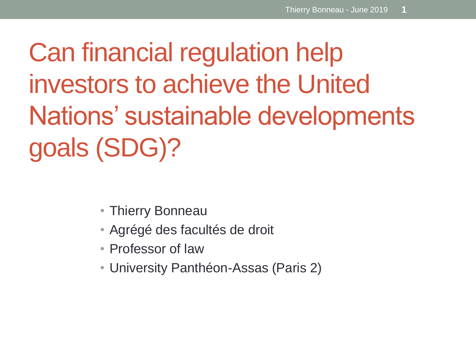Can financial regulation help investors to achieve the United Nations' sustainable developments goals (SDG)?

- Thierry Bonneau
- Agrégé des facultés de droit
- Professor of law
- University Panthéon-Assas (Paris 2)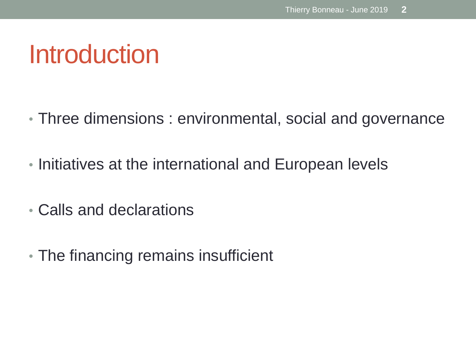## Introduction

- Three dimensions : environmental, social and governance
- Initiatives at the international and European levels
- Calls and declarations
- The financing remains insufficient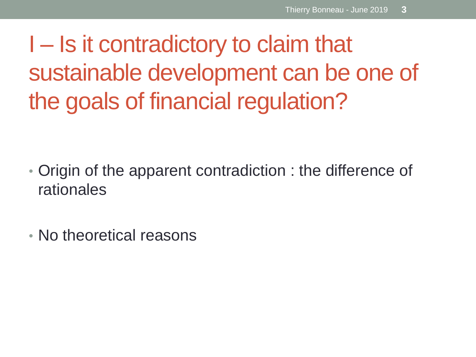I – Is it contradictory to claim that sustainable development can be one of the goals of financial regulation?

- Origin of the apparent contradiction : the difference of rationales
- No theoretical reasons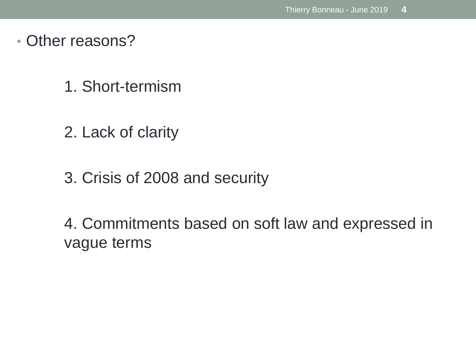- Other reasons?
	- 1. Short-termism
	- 2. Lack of clarity
	- 3. Crisis of 2008 and security

4. Commitments based on soft law and expressed in vague terms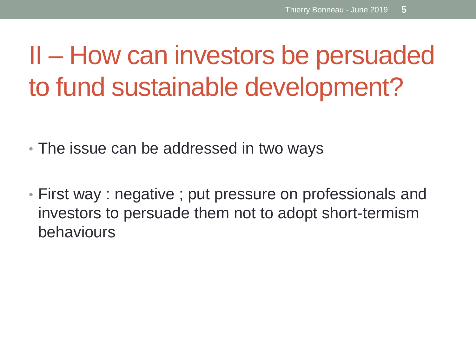## II – How can investors be persuaded to fund sustainable development?

• The issue can be addressed in two ways

• First way : negative ; put pressure on professionals and investors to persuade them not to adopt short-termism behaviours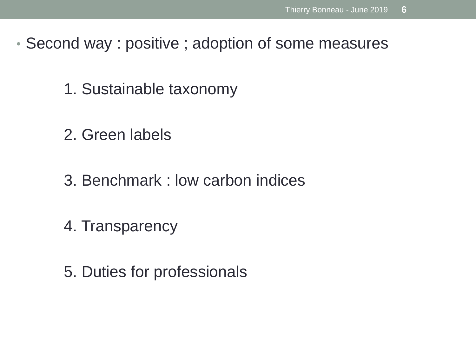- Second way : positive ; adoption of some measures
	- 1. Sustainable taxonomy
	- 2. Green labels
	- 3. Benchmark : low carbon indices
	- 4. Transparency
	- 5. Duties for professionals